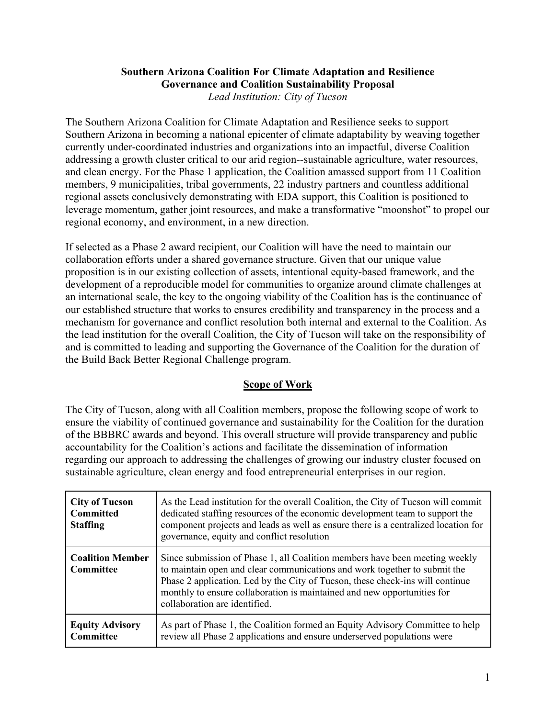#### **Southern Arizona Coalition For Climate Adaptation and Resilience Governance and Coalition Sustainability Proposal** *Lead Institution: City of Tucson*

The Southern Arizona Coalition for Climate Adaptation and Resilience seeks to support Southern Arizona in becoming a national epicenter of climate adaptability by weaving together currently under-coordinated industries and organizations into an impactful, diverse Coalition addressing a growth cluster critical to our arid region--sustainable agriculture, water resources, and clean energy. For the Phase 1 application, the Coalition amassed support from 11 Coalition members, 9 municipalities, tribal governments, 22 industry partners and countless additional regional assets conclusively demonstrating with EDA support, this Coalition is positioned to leverage momentum, gather joint resources, and make a transformative "moonshot" to propel our regional economy, and environment, in a new direction.

If selected as a Phase 2 award recipient, our Coalition will have the need to maintain our collaboration efforts under a shared governance structure. Given that our unique value proposition is in our existing collection of assets, intentional equity-based framework, and the development of a reproducible model for communities to organize around climate challenges at an international scale, the key to the ongoing viability of the Coalition has is the continuance of our established structure that works to ensures credibility and transparency in the process and a mechanism for governance and conflict resolution both internal and external to the Coalition. As the lead institution for the overall Coalition, the City of Tucson will take on the responsibility of and is committed to leading and supporting the Governance of the Coalition for the duration of the Build Back Better Regional Challenge program.

### **Scope of Work**

The City of Tucson, along with all Coalition members, propose the following scope of work to ensure the viability of continued governance and sustainability for the Coalition for the duration of the BBBRC awards and beyond. This overall structure will provide transparency and public accountability for the Coalition's actions and facilitate the dissemination of information regarding our approach to addressing the challenges of growing our industry cluster focused on sustainable agriculture, clean energy and food entrepreneurial enterprises in our region.

| <b>City of Tucson</b><br><b>Committed</b><br><b>Staffing</b> | As the Lead institution for the overall Coalition, the City of Tucson will commit<br>dedicated staffing resources of the economic development team to support the<br>component projects and leads as well as ensure there is a centralized location for<br>governance, equity and conflict resolution                                                 |
|--------------------------------------------------------------|-------------------------------------------------------------------------------------------------------------------------------------------------------------------------------------------------------------------------------------------------------------------------------------------------------------------------------------------------------|
| <b>Coalition Member</b><br>Committee                         | Since submission of Phase 1, all Coalition members have been meeting weekly<br>to maintain open and clear communications and work together to submit the<br>Phase 2 application. Led by the City of Tucson, these check-ins will continue<br>monthly to ensure collaboration is maintained and new opportunities for<br>collaboration are identified. |
| <b>Equity Advisory</b><br>Committee                          | As part of Phase 1, the Coalition formed an Equity Advisory Committee to help<br>review all Phase 2 applications and ensure underserved populations were                                                                                                                                                                                              |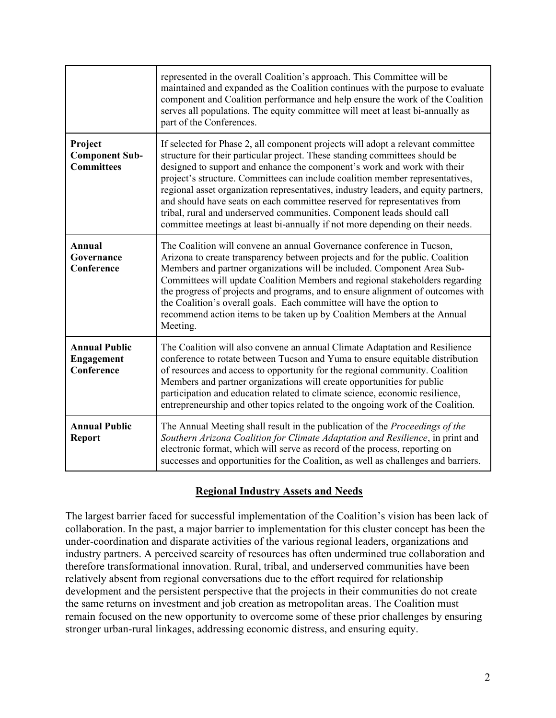|                                                         | represented in the overall Coalition's approach. This Committee will be<br>maintained and expanded as the Coalition continues with the purpose to evaluate<br>component and Coalition performance and help ensure the work of the Coalition<br>serves all populations. The equity committee will meet at least bi-annually as<br>part of the Conferences.                                                                                                                                                                                                                                                                                                  |
|---------------------------------------------------------|------------------------------------------------------------------------------------------------------------------------------------------------------------------------------------------------------------------------------------------------------------------------------------------------------------------------------------------------------------------------------------------------------------------------------------------------------------------------------------------------------------------------------------------------------------------------------------------------------------------------------------------------------------|
| Project<br><b>Component Sub-</b><br><b>Committees</b>   | If selected for Phase 2, all component projects will adopt a relevant committee<br>structure for their particular project. These standing committees should be<br>designed to support and enhance the component's work and work with their<br>project's structure. Committees can include coalition member representatives,<br>regional asset organization representatives, industry leaders, and equity partners,<br>and should have seats on each committee reserved for representatives from<br>tribal, rural and underserved communities. Component leads should call<br>committee meetings at least bi-annually if not more depending on their needs. |
| Annual<br>Governance<br>Conference                      | The Coalition will convene an annual Governance conference in Tucson,<br>Arizona to create transparency between projects and for the public. Coalition<br>Members and partner organizations will be included. Component Area Sub-<br>Committees will update Coalition Members and regional stakeholders regarding<br>the progress of projects and programs, and to ensure alignment of outcomes with<br>the Coalition's overall goals. Each committee will have the option to<br>recommend action items to be taken up by Coalition Members at the Annual<br>Meeting.                                                                                      |
| <b>Annual Public</b><br><b>Engagement</b><br>Conference | The Coalition will also convene an annual Climate Adaptation and Resilience<br>conference to rotate between Tucson and Yuma to ensure equitable distribution<br>of resources and access to opportunity for the regional community. Coalition<br>Members and partner organizations will create opportunities for public<br>participation and education related to climate science, economic resilience,<br>entrepreneurship and other topics related to the ongoing work of the Coalition.                                                                                                                                                                  |
| <b>Annual Public</b><br><b>Report</b>                   | The Annual Meeting shall result in the publication of the Proceedings of the<br>Southern Arizona Coalition for Climate Adaptation and Resilience, in print and<br>electronic format, which will serve as record of the process, reporting on<br>successes and opportunities for the Coalition, as well as challenges and barriers.                                                                                                                                                                                                                                                                                                                         |

# **Regional Industry Assets and Needs**

The largest barrier faced for successful implementation of the Coalition's vision has been lack of collaboration. In the past, a major barrier to implementation for this cluster concept has been the under-coordination and disparate activities of the various regional leaders, organizations and industry partners. A perceived scarcity of resources has often undermined true collaboration and therefore transformational innovation. Rural, tribal, and underserved communities have been relatively absent from regional conversations due to the effort required for relationship development and the persistent perspective that the projects in their communities do not create the same returns on investment and job creation as metropolitan areas. The Coalition must remain focused on the new opportunity to overcome some of these prior challenges by ensuring stronger urban-rural linkages, addressing economic distress, and ensuring equity.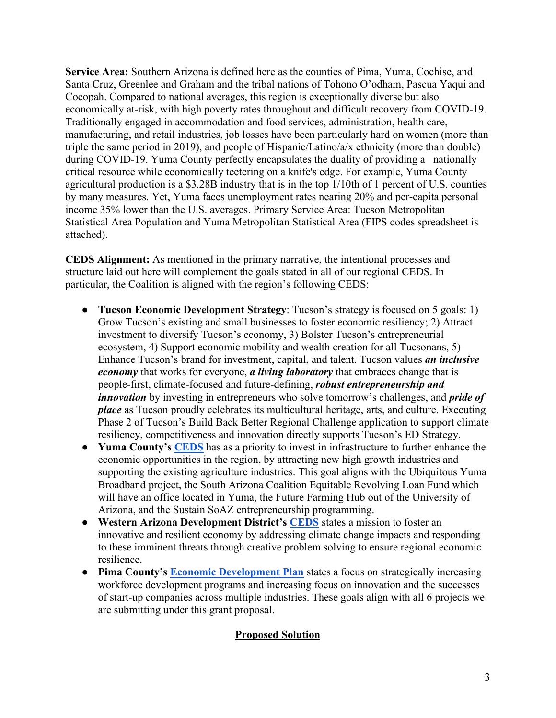**Service Area:** Southern Arizona is defined here as the counties of Pima, Yuma, Cochise, and Santa Cruz, Greenlee and Graham and the tribal nations of Tohono O'odham, Pascua Yaqui and Cocopah. Compared to national averages, this region is exceptionally diverse but also economically at-risk, with high poverty rates throughout and difficult recovery from COVID-19. Traditionally engaged in accommodation and food services, administration, health care, manufacturing, and retail industries, job losses have been particularly hard on women (more than triple the same period in 2019), and people of Hispanic/Latino/a/x ethnicity (more than double) during COVID-19. Yuma County perfectly encapsulates the duality of providing a nationally critical resource while economically teetering on a knife's edge. For example, Yuma County agricultural production is a \$3.28B industry that is in the top 1/10th of 1 percent of U.S. counties by many measures. Yet, Yuma faces unemployment rates nearing 20% and per-capita personal income 35% lower than the U.S. averages. Primary Service Area: Tucson Metropolitan Statistical Area Population and Yuma Metropolitan Statistical Area (FIPS codes spreadsheet is attached).

**CEDS Alignment:** As mentioned in the primary narrative, the intentional processes and structure laid out here will complement the goals stated in all of our regional CEDS. In particular, the Coalition is aligned with the region's following CEDS:

- **Tucson Economic Development Strategy**: Tucson's strategy is focused on 5 goals: 1) Grow Tucson's existing and small businesses to foster economic resiliency; 2) Attract investment to diversify Tucson's economy, 3) Bolster Tucson's entrepreneurial ecosystem, 4) Support economic mobility and wealth creation for all Tucsonans, 5) Enhance Tucson's brand for investment, capital, and talent. Tucson values *an inclusive economy* that works for everyone, *a living laboratory* that embraces change that is people-first, climate-focused and future-defining, *robust entrepreneurship and innovation* by investing in entrepreneurs who solve tomorrow's challenges, and *pride of place* as Tucson proudly celebrates its multicultural heritage, arts, and culture. Executing Phase 2 of Tucson's Build Back Better Regional Challenge application to support climate resiliency, competitiveness and innovation directly supports Tucson's ED Strategy.
- **Yuma County's [CEDS](https://www.yumacountyaz.gov/home/showpublisheddocument/44294/637340525355370000)** has as a priority to invest in infrastructure to further enhance the economic opportunities in the region, by attracting new high growth industries and supporting the existing agriculture industries. This goal aligns with the Ubiquitous Yuma Broadband project, the South Arizona Coalition Equitable Revolving Loan Fund which will have an office located in Yuma, the Future Farming Hub out of the University of Arizona, and the Sustain SoAZ entrepreneurship programming.
- **Western Arizona Development District's [CEDS](https://sites.google.com/a/waedd.info/ceds/Home)** states a mission to foster an innovative and resilient economy by addressing climate change impacts and responding to these imminent threats through creative problem solving to ensure regional economic resilience.
- **Pima County's [Economic Development Plan](https://webcms.pima.gov/cms/One.aspx?portalId=169&pageId=183160)** states a focus on strategically increasing workforce development programs and increasing focus on innovation and the successes of start-up companies across multiple industries. These goals align with all 6 projects we are submitting under this grant proposal.

# **Proposed Solution**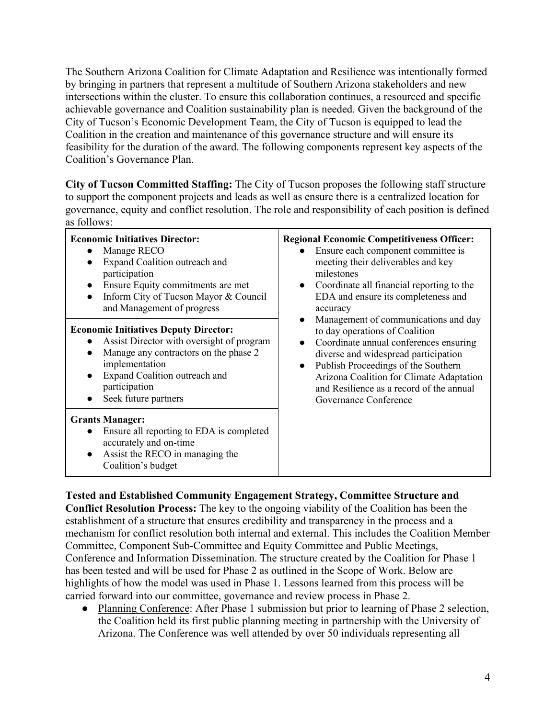The Southern Arizona Coalition for Climate Adaptation and Resilience was intentionally formed by bringing in partners that represent a multitude of Southern Arizona stakeholders and new intersections within the cluster. To ensure this collaboration continues, a resourced and specific achievable governance and Coalition sustainability plan is needed. Given the background of the City of Tucson's Economic Development Team, the City of Tucson is equipped to lead the Coalition in the creation and maintenance of this governance structure and will ensure its feasibility for the duration of the award. The following components represent key aspects of the Coalition's Governance Plan.

**City of Tucson Committed Staffing:** The City of Tucson proposes the following staff structure to support the component projects and leads as well as ensure there is a centralized location for governance, equity and conflict resolution. The role and responsibility of each position is defined as follows:

| <b>Economic Initiatives Director:</b><br>Manage RECO<br>$\bullet$<br>Expand Coalition outreach and<br>$\bullet$<br>participation<br>Ensure Equity commitments are met<br>$\bullet$<br>Inform City of Tucson Mayor & Council<br>$\bullet$<br>and Management of progress             | <b>Regional Economic Competitiveness Officer:</b><br>Ensure each component committee is<br>meeting their deliverables and key<br>milestones<br>Coordinate all financial reporting to the<br>$\bullet$<br>EDA and ensure its completeness and<br>accuracy<br>Management of communications and day<br>to day operations of Coalition<br>Coordinate annual conferences ensuring<br>diverse and widespread participation<br>Publish Proceedings of the Southern<br>$\bullet$<br>Arizona Coalition for Climate Adaptation<br>and Resilience as a record of the annual<br>Governance Conference |
|------------------------------------------------------------------------------------------------------------------------------------------------------------------------------------------------------------------------------------------------------------------------------------|-------------------------------------------------------------------------------------------------------------------------------------------------------------------------------------------------------------------------------------------------------------------------------------------------------------------------------------------------------------------------------------------------------------------------------------------------------------------------------------------------------------------------------------------------------------------------------------------|
| <b>Economic Initiatives Deputy Director:</b><br>Assist Director with oversight of program<br>$\bullet$<br>Manage any contractors on the phase 2<br>$\bullet$<br>implementation<br>Expand Coalition outreach and<br>$\bullet$<br>participation<br>Seek future partners<br>$\bullet$ |                                                                                                                                                                                                                                                                                                                                                                                                                                                                                                                                                                                           |
| <b>Grants Manager:</b><br>Ensure all reporting to EDA is completed<br>accurately and on-time<br>Assist the RECO in managing the<br>$\bullet$<br>Coalition's budget                                                                                                                 |                                                                                                                                                                                                                                                                                                                                                                                                                                                                                                                                                                                           |

**Tested and Established Community Engagement Strategy, Committee Structure and Conflict Resolution Process:** The key to the ongoing viability of the Coalition has been the

establishment of a structure that ensures credibility and transparency in the process and a mechanism for conflict resolution both internal and external. This includes the Coalition Member Committee, Component Sub-Committee and Equity Committee and Public Meetings, Conference and Information Dissemination. The structure created by the Coalition for Phase 1 has been tested and will be used for Phase 2 as outlined in the Scope of Work. Below are highlights of how the model was used in Phase 1. Lessons learned from this process will be carried forward into our committee, governance and review process in Phase 2.

• Planning Conference: After Phase 1 submission but prior to learning of Phase 2 selection, the Coalition held its first public planning meeting in partnership with the University of Arizona. The Conference was well attended by over 50 individuals representing all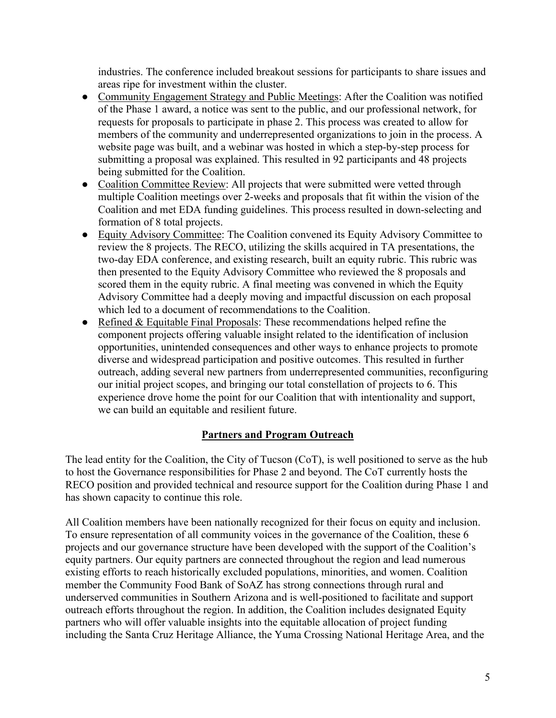industries. The conference included breakout sessions for participants to share issues and areas ripe for investment within the cluster.

- Community Engagement Strategy and Public Meetings: After the Coalition was notified of the Phase 1 award, a notice was sent to the public, and our professional network, for requests for proposals to participate in phase 2. This process was created to allow for members of the community and underrepresented organizations to join in the process. A website page was built, and a webinar was hosted in which a step-by-step process for submitting a proposal was explained. This resulted in 92 participants and 48 projects being submitted for the Coalition.
- Coalition Committee Review: All projects that were submitted were vetted through multiple Coalition meetings over 2-weeks and proposals that fit within the vision of the Coalition and met EDA funding guidelines. This process resulted in down-selecting and formation of 8 total projects.
- Equity Advisory Committee: The Coalition convened its Equity Advisory Committee to review the 8 projects. The RECO, utilizing the skills acquired in TA presentations, the two-day EDA conference, and existing research, built an equity rubric. This rubric was then presented to the Equity Advisory Committee who reviewed the 8 proposals and scored them in the equity rubric. A final meeting was convened in which the Equity Advisory Committee had a deeply moving and impactful discussion on each proposal which led to a document of recommendations to the Coalition.
- Refined  $&$  Equitable Final Proposals: These recommendations helped refine the component projects offering valuable insight related to the identification of inclusion opportunities, unintended consequences and other ways to enhance projects to promote diverse and widespread participation and positive outcomes. This resulted in further outreach, adding several new partners from underrepresented communities, reconfiguring our initial project scopes, and bringing our total constellation of projects to 6. This experience drove home the point for our Coalition that with intentionality and support, we can build an equitable and resilient future.

### **Partners and Program Outreach**

The lead entity for the Coalition, the City of Tucson (CoT), is well positioned to serve as the hub to host the Governance responsibilities for Phase 2 and beyond. The CoT currently hosts the RECO position and provided technical and resource support for the Coalition during Phase 1 and has shown capacity to continue this role.

All Coalition members have been nationally recognized for their focus on equity and inclusion. To ensure representation of all community voices in the governance of the Coalition, these 6 projects and our governance structure have been developed with the support of the Coalition's equity partners. Our equity partners are connected throughout the region and lead numerous existing efforts to reach historically excluded populations, minorities, and women. Coalition member the Community Food Bank of SoAZ has strong connections through rural and underserved communities in Southern Arizona and is well-positioned to facilitate and support outreach efforts throughout the region. In addition, the Coalition includes designated Equity partners who will offer valuable insights into the equitable allocation of project funding including the Santa Cruz Heritage Alliance, the Yuma Crossing National Heritage Area, and the